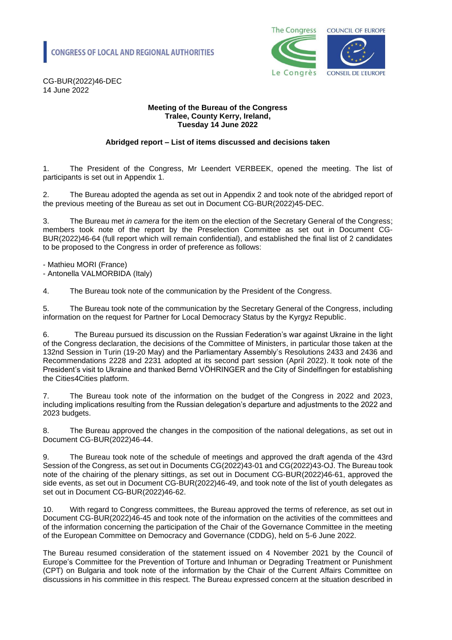

CG-BUR(2022)46-DEC 14 June 2022

#### **Meeting of the Bureau of the Congress Tralee, County Kerry, Ireland, Tuesday 14 June 2022**

### **Abridged report – List of items discussed and decisions taken**

1. The President of the Congress, Mr Leendert VERBEEK, opened the meeting. The list of participants is set out in Appendix 1.

2. The Bureau adopted the agenda as set out in Appendix 2 and took note of the abridged report of the previous meeting of the Bureau as set out in Document CG-BUR(2022)45-DEC.

3. The Bureau met *in camera* for the item on the election of the Secretary General of the Congress; members took note of the report by the Preselection Committee as set out in Document CG-BUR(2022)46-64 (full report which will remain confidential), and established the final list of 2 candidates to be proposed to the Congress in order of preference as follows:

- Mathieu MORI (France)

- Antonella VALMORBIDA (Italy)

4. The Bureau took note of the communication by the President of the Congress.

5. The Bureau took note of the communication by the Secretary General of the Congress, including information on the request for Partner for Local Democracy Status by the Kyrgyz Republic.

The Bureau pursued its discussion on the Russian Federation's war against Ukraine in the light of the Congress declaration, the decisions of the Committee of Ministers, in particular those taken at the 132nd Session in Turin (19-20 May) and the Parliamentary Assembly's Resolutions 2433 and 2436 and Recommendations 2228 and 2231 adopted at its second part session (April 2022). It took note of the President's visit to Ukraine and thanked Bernd VÖHRINGER and the City of Sindelfingen for establishing the Cities4Cities platform.

7. The Bureau took note of the information on the budget of the Congress in 2022 and 2023, including implications resulting from the Russian delegation's departure and adjustments to the 2022 and 2023 budgets.

8. The Bureau approved the changes in the composition of the national delegations, as set out in Document CG-BUR(2022)46-44.

9. The Bureau took note of the schedule of meetings and approved the draft agenda of the 43rd Session of the Congress, as set out in Documents CG(2022)43-01 and CG(2022)43-OJ. The Bureau took note of the chairing of the plenary sittings, as set out in Document CG-BUR(2022)46-61, approved the side events, as set out in Document CG-BUR(2022)46-49, and took note of the list of youth delegates as set out in Document CG-BUR(2022)46-62.

10. With regard to Congress committees, the Bureau approved the terms of reference, as set out in Document CG-BUR(2022)46-45 and took note of the information on the activities of the committees and of the information concerning the participation of the Chair of the Governance Committee in the meeting of the European Committee on Democracy and Governance (CDDG), held on 5-6 June 2022.

The Bureau resumed consideration of the statement issued on 4 November 2021 by the Council of Europe's Committee for the Prevention of Torture and Inhuman or Degrading Treatment or Punishment (CPT) on Bulgaria and took note of the information by the Chair of the Current Affairs Committee on discussions in his committee in this respect. The Bureau expressed concern at the situation described in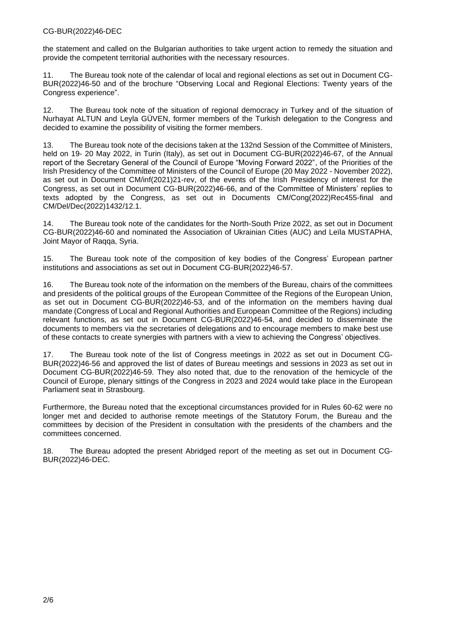#### CG-BUR(2022)46-DEC

the statement and called on the Bulgarian authorities to take urgent action to remedy the situation and provide the competent territorial authorities with the necessary resources.

11. The Bureau took note of the calendar of local and regional elections as set out in Document CG-BUR(2022)46-50 and of the brochure "Observing Local and Regional Elections: Twenty years of the Congress experience".

12. The Bureau took note of the situation of regional democracy in Turkey and of the situation of Nurhayat ALTUN and Leyla GÜVEN, former members of the Turkish delegation to the Congress and decided to examine the possibility of visiting the former members.

13. The Bureau took note of the decisions taken at the 132nd Session of the Committee of Ministers, held on 19- 20 May 2022, in Turin (Italy), as set out in Document CG-BUR(2022)46-67, of the Annual report of the Secretary General of the Council of Europe "Moving Forward 2022", of the Priorities of the Irish Presidency of the Committee of Ministers of the Council of Europe (20 May 2022 - November 2022), as set out in Document CM/inf(2021)21-rev, of the events of the Irish Presidency of interest for the Congress, as set out in Document CG-BUR(2022)46-66, and of the Committee of Ministers' replies to texts adopted by the Congress, as set out in Documents CM/Cong(2022)Rec455-final and CM/Del/Dec(2022)1432/12.1.

14. The Bureau took note of the candidates for the North-South Prize 2022, as set out in Document CG-BUR(2022)46-60 and nominated the Association of Ukrainian Cities (AUC) and Leïla MUSTAPHA, Joint Mayor of Raqqa, Syria.

15. The Bureau took note of the composition of key bodies of the Congress' European partner institutions and associations as set out in Document CG-BUR(2022)46-57.

16. The Bureau took note of the information on the members of the Bureau, chairs of the committees and presidents of the political groups of the European Committee of the Regions of the European Union, as set out in Document CG-BUR(2022)46-53, and of the information on the members having dual mandate (Congress of Local and Regional Authorities and European Committee of the Regions) including relevant functions, as set out in Document CG-BUR(2022)46-54, and decided to disseminate the documents to members via the secretaries of delegations and to encourage members to make best use of these contacts to create synergies with partners with a view to achieving the Congress' objectives.

17. The Bureau took note of the list of Congress meetings in 2022 as set out in Document CG-BUR(2022)46-56 and approved the list of dates of Bureau meetings and sessions in 2023 as set out in Document CG-BUR(2022)46-59. They also noted that, due to the renovation of the hemicycle of the Council of Europe, plenary sittings of the Congress in 2023 and 2024 would take place in the European Parliament seat in Strasbourg.

Furthermore, the Bureau noted that the exceptional circumstances provided for in Rules 60-62 were no longer met and decided to authorise remote meetings of the Statutory Forum, the Bureau and the committees by decision of the President in consultation with the presidents of the chambers and the committees concerned.

18. The Bureau adopted the present Abridged report of the meeting as set out in Document CG-BUR(2022)46-DEC.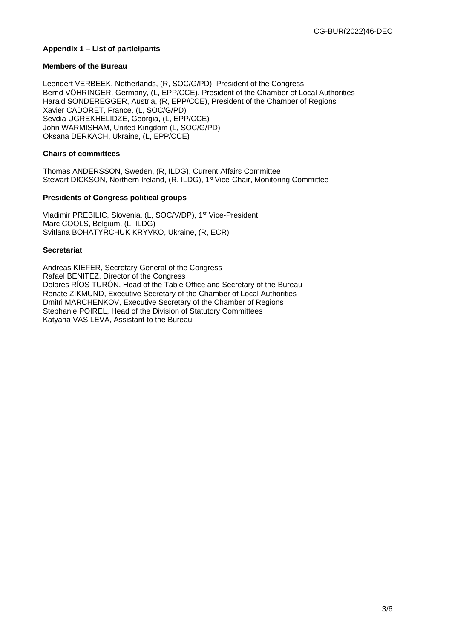### **Appendix 1 – List of participants**

#### **Members of the Bureau**

Leendert VERBEEK, Netherlands, (R, SOC/G/PD), President of the Congress Bernd VÖHRINGER, Germany, (L, EPP/CCE), President of the Chamber of Local Authorities Harald SONDEREGGER, Austria, (R, EPP/CCE), President of the Chamber of Regions Xavier CADORET, France, (L, SOC/G/PD) Sevdia UGREKHELIDZE, Georgia, (L, EPP/CCE) John WARMISHAM, United Kingdom (L, SOC/G/PD) Oksana DERKACH, Ukraine, (L, EPP/CCE)

#### **Chairs of committees**

Thomas ANDERSSON, Sweden, (R, ILDG), Current Affairs Committee Stewart DICKSON, Northern Ireland, (R, ILDG), 1st Vice-Chair, Monitoring Committee

#### **Presidents of Congress political groups**

Vladimir PREBILIC, Slovenia, (L, SOC/V/DP), 1st Vice-President Marc COOLS, Belgium, (L, ILDG) Svitlana BOHATYRCHUK KRYVKO, Ukraine, (R, ECR)

#### **Secretariat**

Andreas KIEFER, Secretary General of the Congress Rafael BENITEZ, Director of the Congress Dolores RÍOS TURÓN, Head of the Table Office and Secretary of the Bureau Renate ZIKMUND, Executive Secretary of the Chamber of Local Authorities Dmitri MARCHENKOV, Executive Secretary of the Chamber of Regions Stephanie POIREL, Head of the Division of Statutory Committees Katyana VASILEVA, Assistant to the Bureau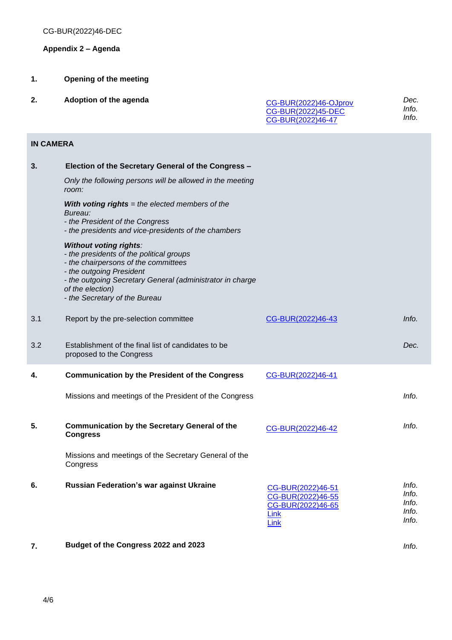# **Appendix 2 – Agenda**

- **1. Opening of the meeting**
- **2. Adoption of the agenda**

| CG-BUR(2022)46-OJprov | Dec.  |
|-----------------------|-------|
| CG-BUR(2022)45-DEC    | Info. |
| CG-BUR(2022)46-47     | Info. |

# **IN CAMERA**

| 3.  | Election of the Secretary General of the Congress -                                                                                                                                                                                                             |                                                                             |                                           |
|-----|-----------------------------------------------------------------------------------------------------------------------------------------------------------------------------------------------------------------------------------------------------------------|-----------------------------------------------------------------------------|-------------------------------------------|
|     | Only the following persons will be allowed in the meeting<br>room:                                                                                                                                                                                              |                                                                             |                                           |
|     | With voting rights $=$ the elected members of the<br>Bureau:<br>- the President of the Congress<br>- the presidents and vice-presidents of the chambers                                                                                                         |                                                                             |                                           |
|     | <b>Without voting rights:</b><br>- the presidents of the political groups<br>- the chairpersons of the committees<br>- the outgoing President<br>- the outgoing Secretary General (administrator in charge<br>of the election)<br>- the Secretary of the Bureau |                                                                             |                                           |
| 3.1 | Report by the pre-selection committee                                                                                                                                                                                                                           | CG-BUR(2022)46-43                                                           | Info.                                     |
| 3.2 | Establishment of the final list of candidates to be<br>proposed to the Congress                                                                                                                                                                                 |                                                                             | Dec.                                      |
| 4.  | <b>Communication by the President of the Congress</b>                                                                                                                                                                                                           | CG-BUR(2022)46-41                                                           |                                           |
|     | Missions and meetings of the President of the Congress                                                                                                                                                                                                          |                                                                             | Info.                                     |
| 5.  | <b>Communication by the Secretary General of the</b><br><b>Congress</b>                                                                                                                                                                                         | CG-BUR(2022)46-42                                                           | Info.                                     |
|     | Missions and meetings of the Secretary General of the<br>Congress                                                                                                                                                                                               |                                                                             |                                           |
| 6.  | <b>Russian Federation's war against Ukraine</b>                                                                                                                                                                                                                 | CG-BUR(2022)46-51<br>CG-BUR(2022)46-55<br>CG-BUR(2022)46-65<br>Link<br>Link | Info.<br>Info.<br>Info.<br>Info.<br>Info. |
| 7.  | Budget of the Congress 2022 and 2023                                                                                                                                                                                                                            |                                                                             | Info.                                     |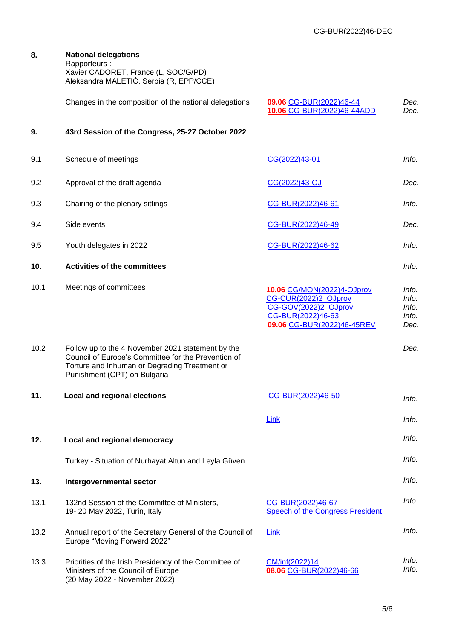|      | Rapporteurs:<br>Xavier CADORET, France (L, SOC/G/PD)<br>Aleksandra MALETIĆ, Serbia (R, EPP/CCE)                                                                                           |                                                                                                                               |                                          |
|------|-------------------------------------------------------------------------------------------------------------------------------------------------------------------------------------------|-------------------------------------------------------------------------------------------------------------------------------|------------------------------------------|
|      | Changes in the composition of the national delegations                                                                                                                                    | 09.06 CG-BUR(2022)46-44<br>10.06 CG-BUR(2022)46-44ADD                                                                         | Dec.<br>Dec.                             |
| 9.   | 43rd Session of the Congress, 25-27 October 2022                                                                                                                                          |                                                                                                                               |                                          |
| 9.1  | Schedule of meetings                                                                                                                                                                      | CG(2022)43-01                                                                                                                 | Info.                                    |
| 9.2  | Approval of the draft agenda                                                                                                                                                              | CG(2022)43-OJ                                                                                                                 | Dec.                                     |
| 9.3  | Chairing of the plenary sittings                                                                                                                                                          | CG-BUR(2022)46-61                                                                                                             | Info.                                    |
| 9.4  | Side events                                                                                                                                                                               | CG-BUR(2022)46-49                                                                                                             | Dec.                                     |
| 9.5  | Youth delegates in 2022                                                                                                                                                                   | CG-BUR(2022)46-62                                                                                                             | Info.                                    |
| 10.  | <b>Activities of the committees</b>                                                                                                                                                       |                                                                                                                               | Info.                                    |
| 10.1 | Meetings of committees                                                                                                                                                                    | 10.06 CG/MON(2022)4-OJprov<br>CG-CUR(2022)2_OJprov<br>CG-GOV(2022)2_OJprov<br>CG-BUR(2022)46-63<br>09.06 CG-BUR(2022)46-45REV | Info.<br>Info.<br>Info.<br>Info.<br>Dec. |
| 10.2 | Follow up to the 4 November 2021 statement by the<br>Council of Europe's Committee for the Prevention of<br>Torture and Inhuman or Degrading Treatment or<br>Punishment (CPT) on Bulgaria |                                                                                                                               | Dec.                                     |
| 11.  | <b>Local and regional elections</b>                                                                                                                                                       | CG-BUR(2022)46-50                                                                                                             | Info.                                    |
|      |                                                                                                                                                                                           | Link                                                                                                                          | Info.                                    |
| 12.  | Local and regional democracy                                                                                                                                                              |                                                                                                                               | Info.                                    |
|      | Turkey - Situation of Nurhayat Altun and Leyla Güven                                                                                                                                      |                                                                                                                               | Info.                                    |
| 13.  | Intergovernmental sector                                                                                                                                                                  |                                                                                                                               | Info.                                    |
| 13.1 | 132nd Session of the Committee of Ministers,<br>19-20 May 2022, Turin, Italy                                                                                                              | CG-BUR(2022)46-67<br>Speech of the Congress President                                                                         | Info.                                    |
| 13.2 | Annual report of the Secretary General of the Council of<br>Europe "Moving Forward 2022"                                                                                                  | Link                                                                                                                          | Info.                                    |
| 13.3 | Priorities of the Irish Presidency of the Committee of<br>Ministers of the Council of Europe<br>(20 May 2022 - November 2022)                                                             | CM/inf(2022)14<br>08.06 CG-BUR(2022)46-66                                                                                     | Info.<br>Info.                           |

**8. National delegations**